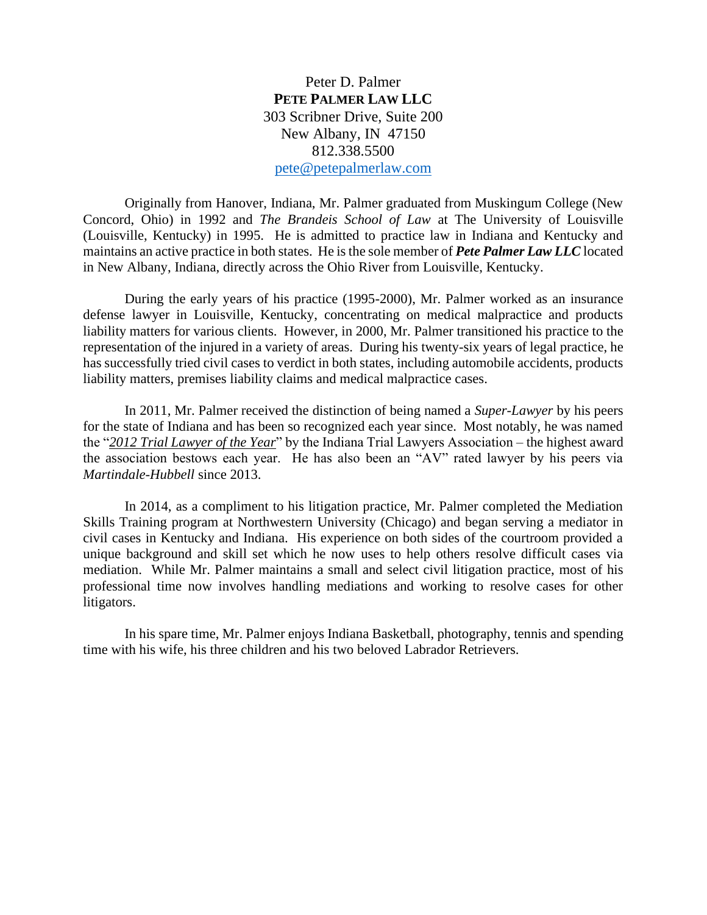Peter D. Palmer **PETE PALMER LAW LLC** 303 Scribner Drive, Suite 200 New Albany, IN 47150 812.338.5500 [pete@petepalmerlaw.com](mailto:pete@petepalmerlaw.com)

Originally from Hanover, Indiana, Mr. Palmer graduated from Muskingum College (New Concord, Ohio) in 1992 and *The Brandeis School of Law* at The University of Louisville (Louisville, Kentucky) in 1995. He is admitted to practice law in Indiana and Kentucky and maintains an active practice in both states. He is the sole member of *Pete Palmer Law LLC* located in New Albany, Indiana, directly across the Ohio River from Louisville, Kentucky.

During the early years of his practice (1995-2000), Mr. Palmer worked as an insurance defense lawyer in Louisville, Kentucky, concentrating on medical malpractice and products liability matters for various clients. However, in 2000, Mr. Palmer transitioned his practice to the representation of the injured in a variety of areas. During his twenty-six years of legal practice, he has successfully tried civil cases to verdict in both states, including automobile accidents, products liability matters, premises liability claims and medical malpractice cases.

In 2011, Mr. Palmer received the distinction of being named a *Super-Lawyer* by his peers for the state of Indiana and has been so recognized each year since. Most notably, he was named the "*2012 Trial Lawyer of the Year*" by the Indiana Trial Lawyers Association – the highest award the association bestows each year. He has also been an "AV" rated lawyer by his peers via *Martindale-Hubbell* since 2013.

In 2014, as a compliment to his litigation practice, Mr. Palmer completed the Mediation Skills Training program at Northwestern University (Chicago) and began serving a mediator in civil cases in Kentucky and Indiana. His experience on both sides of the courtroom provided a unique background and skill set which he now uses to help others resolve difficult cases via mediation. While Mr. Palmer maintains a small and select civil litigation practice, most of his professional time now involves handling mediations and working to resolve cases for other litigators.

In his spare time, Mr. Palmer enjoys Indiana Basketball, photography, tennis and spending time with his wife, his three children and his two beloved Labrador Retrievers.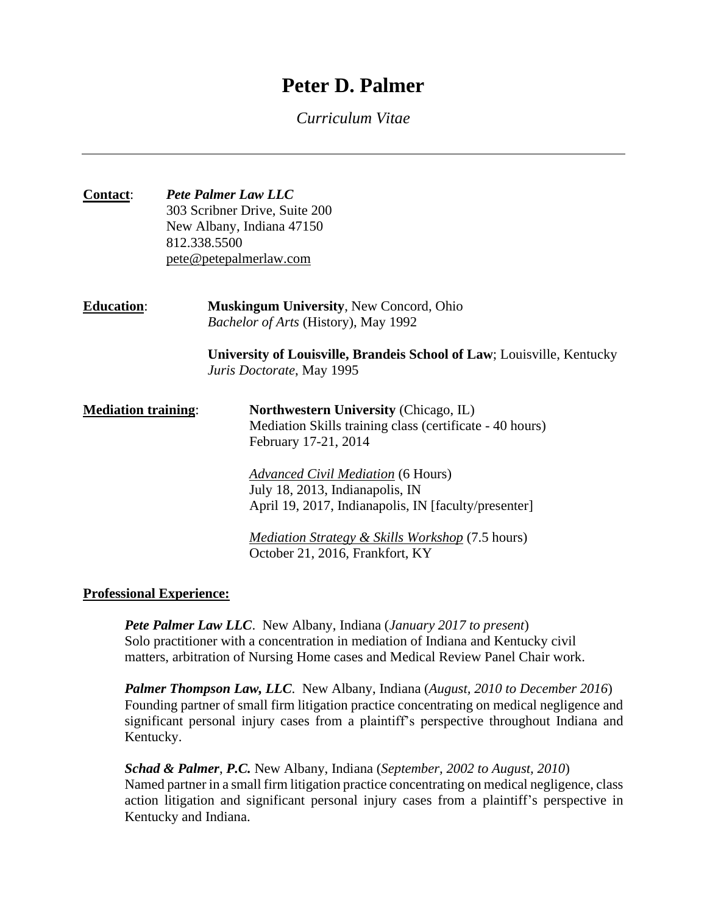# **Peter D. Palmer**

*Curriculum Vitae*

| <b>Contact:</b>            | <b>Pete Palmer Law LLC</b><br>303 Scribner Drive, Suite 200<br>New Albany, Indiana 47150<br>812.338.5500<br>pete@petepalmerlaw.com |                                                                                                                                  |  |
|----------------------------|------------------------------------------------------------------------------------------------------------------------------------|----------------------------------------------------------------------------------------------------------------------------------|--|
| <b>Education:</b>          |                                                                                                                                    | <b>Muskingum University, New Concord, Ohio</b><br>Bachelor of Arts (History), May 1992                                           |  |
|                            |                                                                                                                                    | University of Louisville, Brandeis School of Law; Louisville, Kentucky<br>Juris Doctorate, May 1995                              |  |
| <b>Mediation training:</b> |                                                                                                                                    | <b>Northwestern University (Chicago, IL)</b><br>Mediation Skills training class (certificate - 40 hours)<br>February 17-21, 2014 |  |
|                            |                                                                                                                                    | <b>Advanced Civil Mediation</b> (6 Hours)<br>July 18, 2013, Indianapolis, IN                                                     |  |
|                            |                                                                                                                                    | April 19, 2017, Indianapolis, IN [faculty/presenter]                                                                             |  |
|                            |                                                                                                                                    | <i>Mediation Strategy &amp; Skills Workshop</i> (7.5 hours)<br>October 21, 2016, Frankfort, KY                                   |  |

## **Professional Experience:**

*Pete Palmer Law LLC*. New Albany, Indiana (*January 2017 to present*) Solo practitioner with a concentration in mediation of Indiana and Kentucky civil matters, arbitration of Nursing Home cases and Medical Review Panel Chair work.

*Palmer Thompson Law, LLC*. New Albany, Indiana (*August, 2010 to December 2016*) Founding partner of small firm litigation practice concentrating on medical negligence and significant personal injury cases from a plaintiff's perspective throughout Indiana and Kentucky.

*Schad & Palmer*, *P.C.* New Albany, Indiana (*September, 2002 to August, 2010*) Named partner in a small firm litigation practice concentrating on medical negligence, class action litigation and significant personal injury cases from a plaintiff's perspective in Kentucky and Indiana.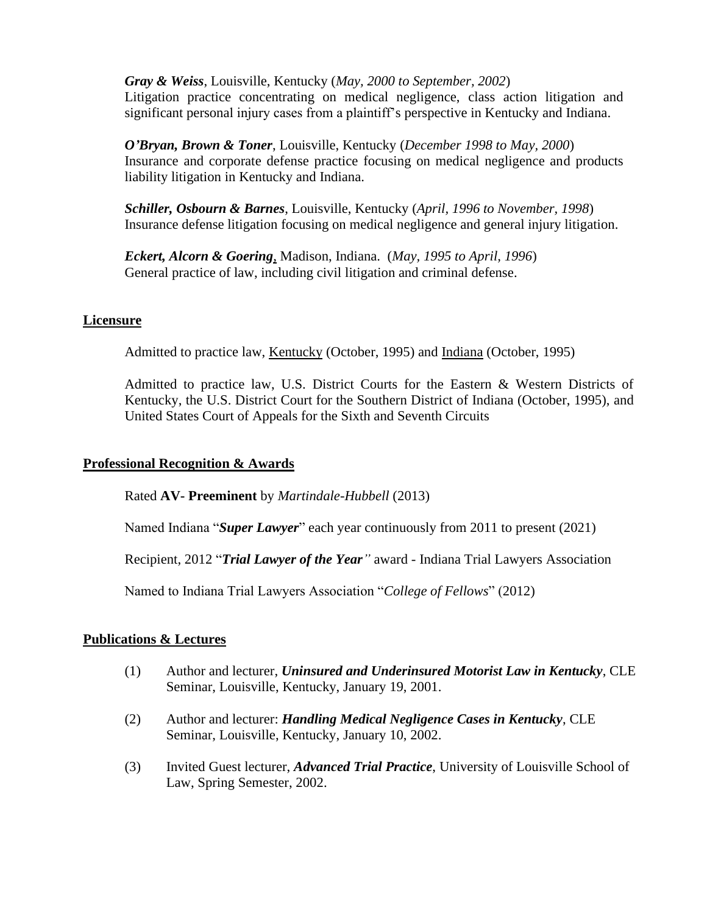*Gray & Weiss*, Louisville, Kentucky (*May, 2000 to September, 2002*) Litigation practice concentrating on medical negligence, class action litigation and significant personal injury cases from a plaintiff's perspective in Kentucky and Indiana.

*O'Bryan, Brown & Toner*, Louisville, Kentucky (*December 1998 to May, 2000*) Insurance and corporate defense practice focusing on medical negligence and products liability litigation in Kentucky and Indiana.

*Schiller, Osbourn & Barnes*, Louisville, Kentucky (*April, 1996 to November, 1998*) Insurance defense litigation focusing on medical negligence and general injury litigation.

*Eckert, Alcorn & Goering*, Madison, Indiana. (*May, 1995 to April, 1996*) General practice of law, including civil litigation and criminal defense.

## **Licensure**

Admitted to practice law, Kentucky (October, 1995) and Indiana (October, 1995)

Admitted to practice law, U.S. District Courts for the Eastern & Western Districts of Kentucky, the U.S. District Court for the Southern District of Indiana (October, 1995), and United States Court of Appeals for the Sixth and Seventh Circuits

### **Professional Recognition & Awards**

Rated **AV- Preeminent** by *Martindale-Hubbell* (2013)

Named Indiana "*Super Lawyer*" each year continuously from 2011 to present (2021)

Recipient, 2012 "*Trial Lawyer of the Year"* award - Indiana Trial Lawyers Association

Named to Indiana Trial Lawyers Association "*College of Fellows*" (2012)

### **Publications & Lectures**

- (1) Author and lecturer, *Uninsured and Underinsured Motorist Law in Kentucky*, CLE Seminar, Louisville, Kentucky, January 19, 2001.
- (2) Author and lecturer: *Handling Medical Negligence Cases in Kentucky*, CLE Seminar, Louisville, Kentucky, January 10, 2002.
- (3) Invited Guest lecturer, *Advanced Trial Practice*, University of Louisville School of Law, Spring Semester, 2002.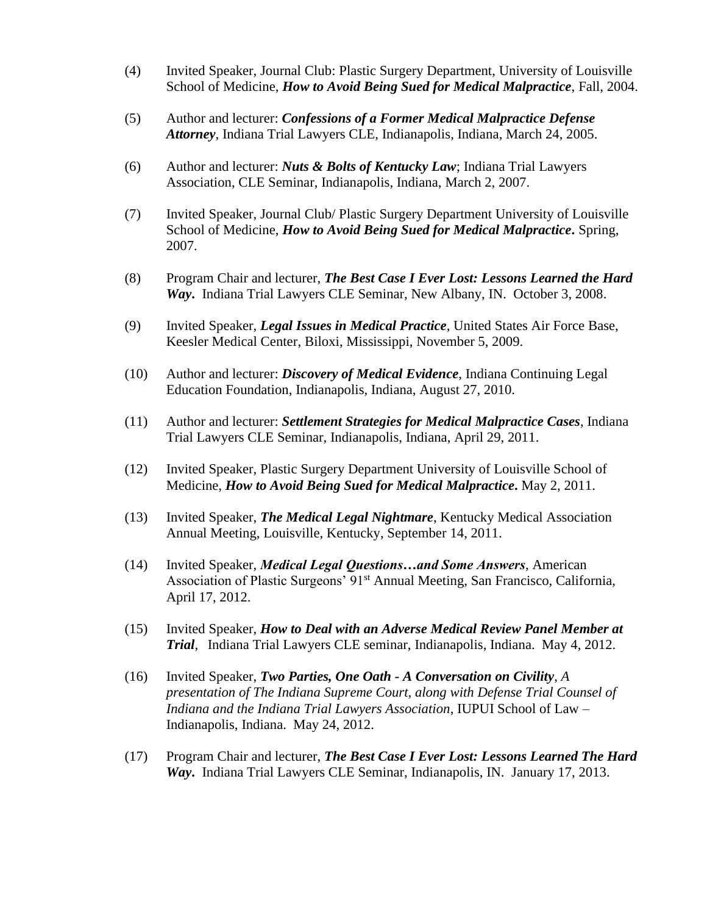- (4) Invited Speaker, Journal Club: Plastic Surgery Department, University of Louisville School of Medicine, *How to Avoid Being Sued for Medical Malpractice*, Fall, 2004.
- (5) Author and lecturer: *Confessions of a Former Medical Malpractice Defense Attorney*, Indiana Trial Lawyers CLE, Indianapolis, Indiana, March 24, 2005.
- (6) Author and lecturer: *Nuts & Bolts of Kentucky Law*; Indiana Trial Lawyers Association, CLE Seminar, Indianapolis, Indiana, March 2, 2007.
- (7) Invited Speaker, Journal Club/ Plastic Surgery Department University of Louisville School of Medicine, *How to Avoid Being Sued for Medical Malpractice***.** Spring, 2007.
- (8) Program Chair and lecturer, *The Best Case I Ever Lost: Lessons Learned the Hard Way***.** Indiana Trial Lawyers CLE Seminar, New Albany, IN. October 3, 2008.
- (9) Invited Speaker, *Legal Issues in Medical Practice*, United States Air Force Base, Keesler Medical Center, Biloxi, Mississippi, November 5, 2009.
- (10) Author and lecturer: *Discovery of Medical Evidence*, Indiana Continuing Legal Education Foundation, Indianapolis, Indiana, August 27, 2010.
- (11) Author and lecturer: *Settlement Strategies for Medical Malpractice Cases*, Indiana Trial Lawyers CLE Seminar, Indianapolis, Indiana, April 29, 2011.
- (12) Invited Speaker, Plastic Surgery Department University of Louisville School of Medicine, *How to Avoid Being Sued for Medical Malpractice***.** May 2, 2011.
- (13) Invited Speaker, *The Medical Legal Nightmare*, Kentucky Medical Association Annual Meeting, Louisville, Kentucky, September 14, 2011.
- (14) Invited Speaker, *Medical Legal Questions…and Some Answers*, American Association of Plastic Surgeons' 91<sup>st</sup> Annual Meeting, San Francisco, California, April 17, 2012.
- (15) Invited Speaker, *How to Deal with an Adverse Medical Review Panel Member at Trial*, Indiana Trial Lawyers CLE seminar, Indianapolis, Indiana. May 4, 2012.
- (16) Invited Speaker, *Two Parties, One Oath - A Conversation on Civility*, *A presentation of The Indiana Supreme Court, along with Defense Trial Counsel of Indiana and the Indiana Trial Lawyers Association*, IUPUI School of Law – Indianapolis, Indiana. May 24, 2012.
- (17) Program Chair and lecturer, *The Best Case I Ever Lost: Lessons Learned The Hard Way***.** Indiana Trial Lawyers CLE Seminar, Indianapolis, IN. January 17, 2013.